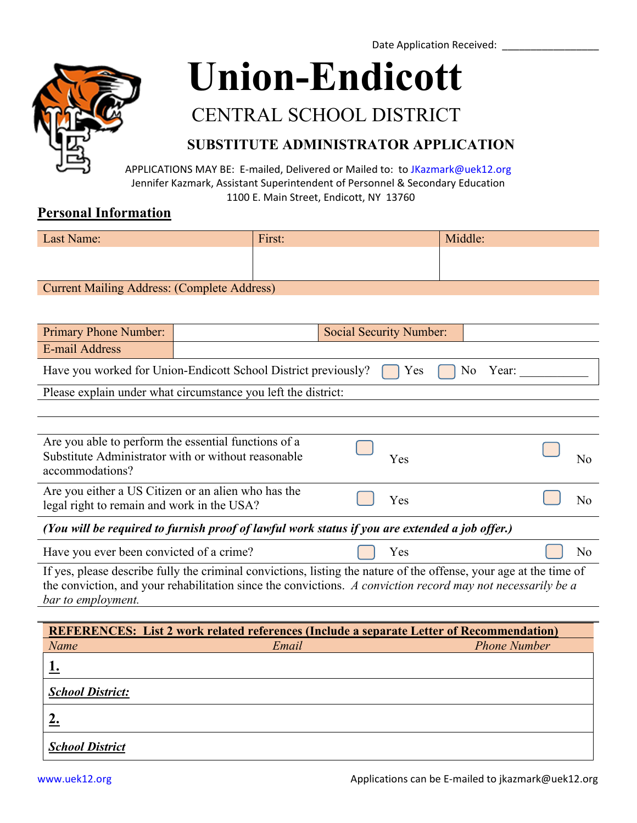Date Application Received:



**[Union-Endicott](http://www.uek12.org/Default.aspx)**

# [CENTRAL SCHOOL DISTRICT](http://www.uek12.org/Default.aspx)

## **SUBSTITUTE ADMINISTRATOR APPLICATION**

[APP](http://www.uek12.org/Default.aspx)LICATIONS MAY BE: E-mailed, Delivered or Mailed to: to [JKazmark@uek12.org](mailto:JKazmark@uek12.org) Jennifer Kazmark, Assistant Superintendent of Personnel & Secondary Education 1100 E. Main Street, Endicott, NY 13760

#### **Personal Information**

| Last Name:                                  | First: | Middle: |  |
|---------------------------------------------|--------|---------|--|
|                                             |        |         |  |
|                                             |        |         |  |
| Current Mailing Address: (Complete Address) |        |         |  |

| <b>Primary Phone Number:</b>                                                              |  | Social Security Number: |  |  |
|-------------------------------------------------------------------------------------------|--|-------------------------|--|--|
| E-mail Address                                                                            |  |                         |  |  |
| Have you worked for Union-Endicott School District previously? $\Box$ Yes $\Box$ No Year: |  |                         |  |  |

|--|

| Are you able to perform the essential functions of a<br>Substitute Administrator with or without reasonable<br>accommodations? | <b>Yes</b> |  |  |
|--------------------------------------------------------------------------------------------------------------------------------|------------|--|--|
| Are you either a US Citizen or an alien who has the<br>legal right to remain and work in the USA?                              | Yes        |  |  |
| (Vou will be required to furnish proof of lawful work status if you are extended a job offer)                                  |            |  |  |

*(You will be required to furnish proof of lawful work status if you are extended a job offer.)*

Have you ever been convicted of a crime? Yes No

If yes, please describe fully the criminal convictions, listing the nature of the offense, your age at the time of the conviction, and your rehabilitation since the convictions. *A conviction record may not necessarily be a bar to employment.*

| <b>REFERENCES:</b> List 2 work related references (Include a separate Letter of Recommendation) |       |                     |  |  |  |
|-------------------------------------------------------------------------------------------------|-------|---------------------|--|--|--|
| Name                                                                                            | Email | <b>Phone Number</b> |  |  |  |
|                                                                                                 |       |                     |  |  |  |
| <b>School District:</b>                                                                         |       |                     |  |  |  |
|                                                                                                 |       |                     |  |  |  |
| <b>School District</b>                                                                          |       |                     |  |  |  |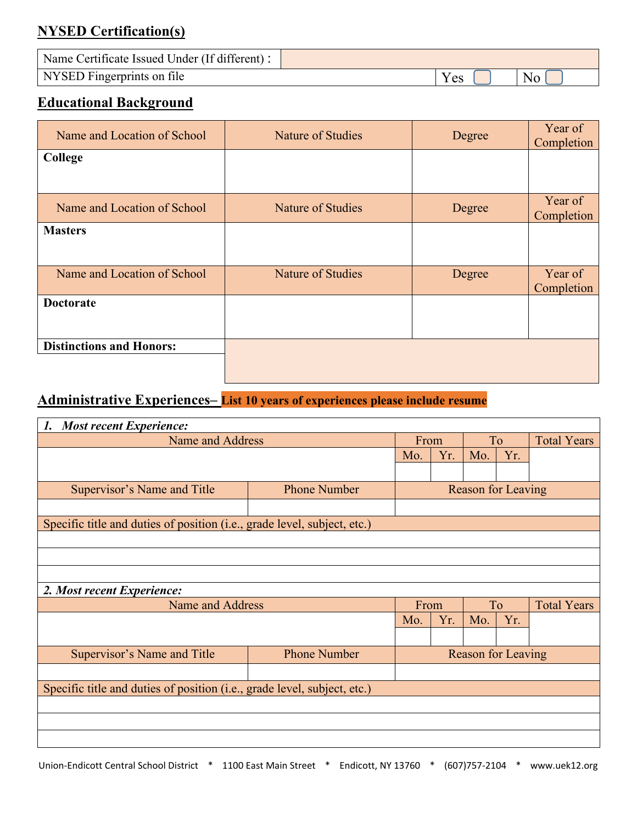# **NYSED Certification(s)**

| Name Certificate Issued Under (If different) : |      |  |
|------------------------------------------------|------|--|
| NYSED Fingerprints on file                     | Y es |  |

## **Educational Background**

| Name and Location of School     | Nature of Studies        | Degree | Year of<br>Completion |
|---------------------------------|--------------------------|--------|-----------------------|
| College                         |                          |        |                       |
|                                 |                          |        |                       |
| Name and Location of School     | Nature of Studies        | Degree | Year of<br>Completion |
| <b>Masters</b>                  |                          |        |                       |
|                                 |                          |        |                       |
| Name and Location of School     | <b>Nature of Studies</b> | Degree | Year of<br>Completion |
| <b>Doctorate</b>                |                          |        |                       |
|                                 |                          |        |                       |
| <b>Distinctions and Honors:</b> |                          |        |                       |
|                                 |                          |        |                       |

# **Administrative Experiences– List 10 years of experiences please include resume**

| <b>Most recent Experience:</b><br>1.                                              |                     |                           |                           |           |     |                    |
|-----------------------------------------------------------------------------------|---------------------|---------------------------|---------------------------|-----------|-----|--------------------|
| Name and Address                                                                  |                     | From                      |                           | To        |     | <b>Total Years</b> |
|                                                                                   |                     | Mo.                       | Yr.                       | Mo.       | Yr. |                    |
|                                                                                   |                     |                           |                           |           |     |                    |
| Supervisor's Name and Title                                                       | <b>Phone Number</b> |                           | <b>Reason for Leaving</b> |           |     |                    |
|                                                                                   |                     |                           |                           |           |     |                    |
| Specific title and duties of position (i.e., grade level, subject, etc.)          |                     |                           |                           |           |     |                    |
|                                                                                   |                     |                           |                           |           |     |                    |
|                                                                                   |                     |                           |                           |           |     |                    |
|                                                                                   |                     |                           |                           |           |     |                    |
| 2. Most recent Experience:                                                        |                     |                           |                           |           |     |                    |
| Name and Address                                                                  |                     | From                      |                           | <b>To</b> |     | <b>Total Years</b> |
|                                                                                   |                     | Mo.                       | Yr.                       | Mo.       | Yr. |                    |
|                                                                                   |                     |                           |                           |           |     |                    |
| Supervisor's Name and Title                                                       | <b>Phone Number</b> | <b>Reason for Leaving</b> |                           |           |     |                    |
|                                                                                   |                     |                           |                           |           |     |                    |
| Specific title and duties of position ( <i>i.e.</i> , grade level, subject, etc.) |                     |                           |                           |           |     |                    |
|                                                                                   |                     |                           |                           |           |     |                    |
|                                                                                   |                     |                           |                           |           |     |                    |
|                                                                                   |                     |                           |                           |           |     |                    |